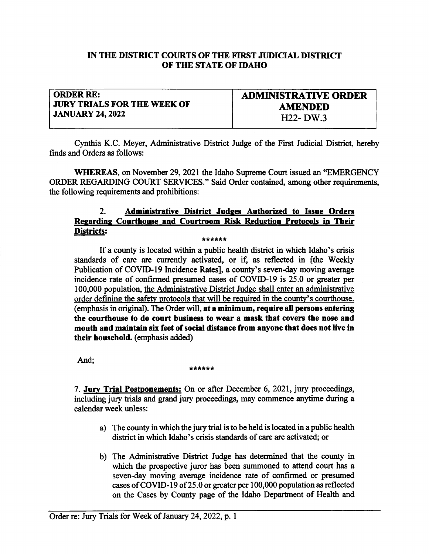### IN THE DISTRICT COURTS OF THE FIRST JUDICIAL DISTRICT OF TIIE STATE OF IDAHO

## ORDER RE: **JURY TRIALS FOR THE WEEK OF** JANUARY 24,2022

ADMIMSTRATTVE ORDER AMENDED 1122- DW.3

Cynthia K.C. Meyer, Administative District Judge of the First Judicial District, hereby finds and Orders as follows:

WHEREAS, on November 29, 2021 the Idaho Supreme Court issued an "EMERGENCY ORDER REGARDING COURT SERVICES." Said Order contained, among other requirements, the following requirements and prohibitions:

# 2. Administrative District Judges Authorized to Issue Orders Regarding Courthouse and Courtroom Risk Reduction Protocols in Their<br>Districts: D!s!ds!s: \*\*\*\*\*\*

If a county is located within a public health district in which Idaho's crisis standards of care are currenfly activated, or if, as reflected in [the Weekly Publication of COVID-l9 Incidence Rates], a county's seven-day moving average incidence rate of confirmed presumed cases of COVID-19 is 25.0 or greater per 100,000 population, the Administrative District Judge shall enter an administrative order defining the safety protocols that will be required in the county's courthouse. (emphasis in original). The Order will, at a minimum, require all persons entering the courthouse to do court business to wear a mask that covers the nose and mouth and maintain six feet of social distance from anyone thet does not live in their household. (emphasis added)

# And; \*\*\*\*\*\*\*

7. Jury Trial Postponements: On or after December 6, 2021, jury proceedings, including jury trials and grand jury proceedings, may commence anytime during a calendar week unless:

- a) The county in which the jury trial is to be held is located in a public health district in which Idaho's crisis standards of care are activated; or
- b) The Administative District Judge has determined that the county in which the prospective juror has been summoned to attend court has <sup>a</sup> seven-day moving average incidence rate of confirmed or presumed cases of COVID-19 of 25.0 or greater per  $100,000$  population as reflected on the Cases by County page of the Idaho Deparfinent of Health and